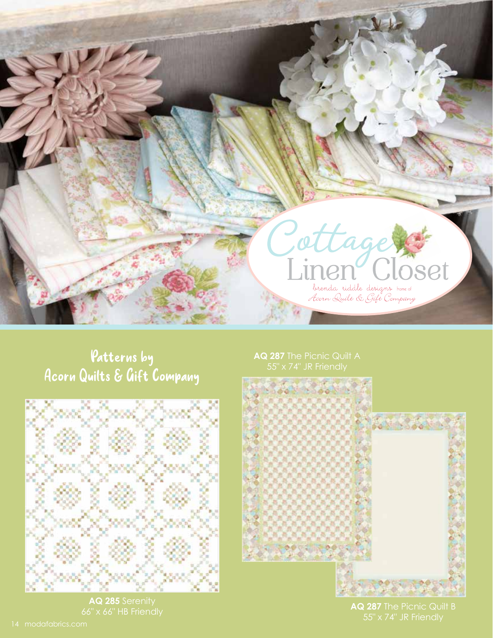

## Patterns by Acorn Quilts & Gift Company



**AQ 285** Serenity

**AQ 287** The Picnic Quilt A



**AQ 287** The Picnic Quilt B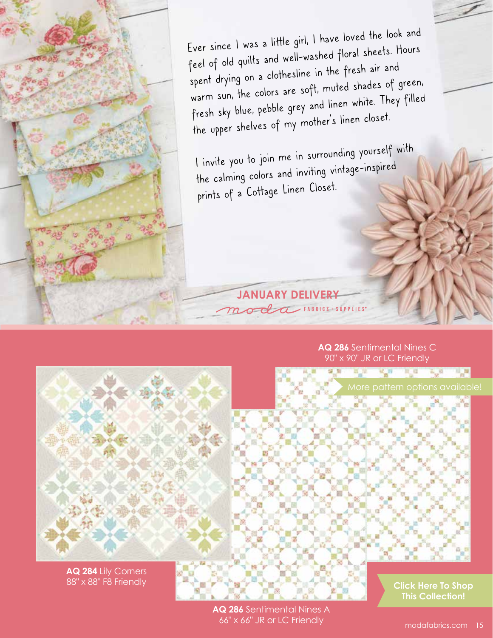Ever since I was a little girl, I have loved the look and feel of old quilts and well-washed floral sheets. Hours spent drying on a clothesline in the fresh air an<sup>d</sup> warm sun, the colors are soft, muted shades of green, fresh sky blue, pebble grey and linen white. They filled the upper shelves of my mother's linen closet.

I invite you to join me in surrounding yourself with the calming colors and inviting vintage-inspired prints of a Cottage Linen Closet.

**JANUARY DELIVERY**<br>Modern FABRICS + SUPPLIES\*

**AQ 286** Sentimental Nines C 90" x 90" JR or LC Friendly

**Contract Contract** 

**B** R

and the sta



**AQ 284** Lily Corners 88" x 88" F8 Friendly

**AQ 286** Sentimental Nines A 66" x 66" JR or LC Friendly

**[Click Here To Shop](https://my.modafabrics.com/shop/s/Brenda_Riddle_Designs/Cottage_Linen_Closet/) This Collection!**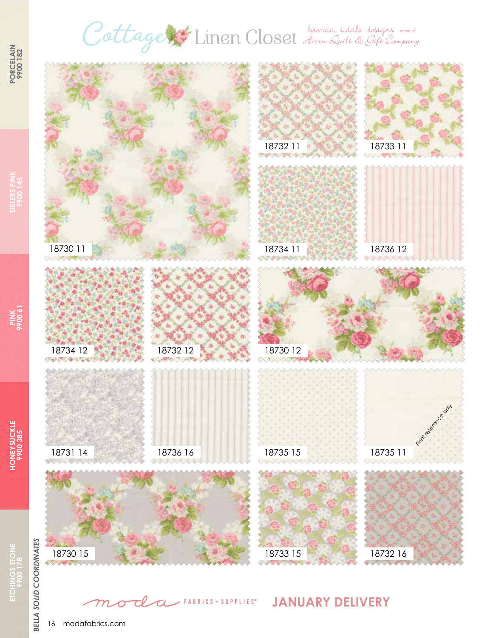## Cottage Linen Closet des Ruiles designes home of